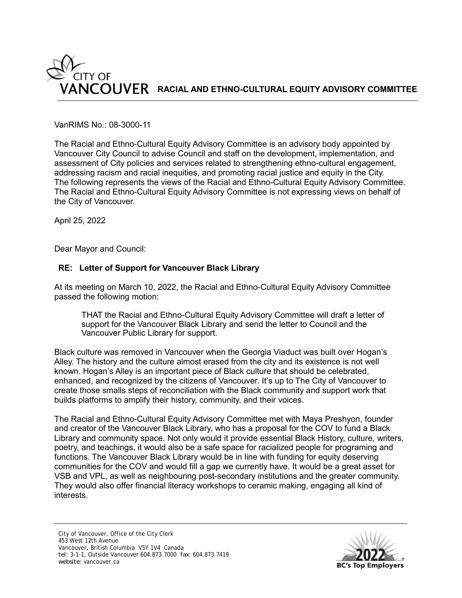

## VanRIMS No.: 08-3000-11

The Racial and Ethno-Cultural Equity Advisory Committee is an advisory body appointed by Vancouver City Council to advise Council and staff on the development, implementation, and assessment of City policies and services related to strengthening ethno-cultural engagement, addressing racism and racial inequities, and promoting racial justice and equity in the City. The following represents the views of the Racial and Ethno-Cultural Equity Advisory Committee. The Racial and Ethno-Cultural Equity Advisory Committee is not expressing views on behalf of the City of Vancouver.

April 25, 2022

Dear Mayor and Council:

## **RE: Letter of Support for Vancouver Black Library**

At its meeting on March 10, 2022, the Racial and Ethno-Cultural Equity Advisory Committee passed the following motion:

THAT the Racial and Ethno-Cultural Equity Advisory Committee will draft a letter of support for the Vancouver Black Library and send the letter to Council and the Vancouver Public Library for support.

Black culture was removed in Vancouver when the Georgia Viaduct was built over Hogan's Alley. The history and the culture almost erased from the city and its existence is not well known. Hogan's Alley is an important piece of Black culture that should be celebrated, enhanced, and recognized by the citizens of Vancouver. It's up to The City of Vancouver to create those smalls steps of reconciliation with the Black community and support work that builds platforms to amplify their history, community, and their voices.

The Racial and Ethno-Cultural Equity Advisory Committee met with Maya Preshyon, founder and creator of the Vancouver Black Library, who has a proposal for the COV to fund a Black Library and community space. Not only would it provide essential Black History, culture, writers, poetry, and teachings, it would also be a safe space for racialized people for programing and functions. The Vancouver Black Library would be in line with funding for equity deserving communities for the COV and would fill a gap we currently have. It would be a great asset for VSB and VPL, as well as neighbouring post-secondary institutions and the greater community. They would also offer financial literacy workshops to ceramic making, engaging all kind of interests.